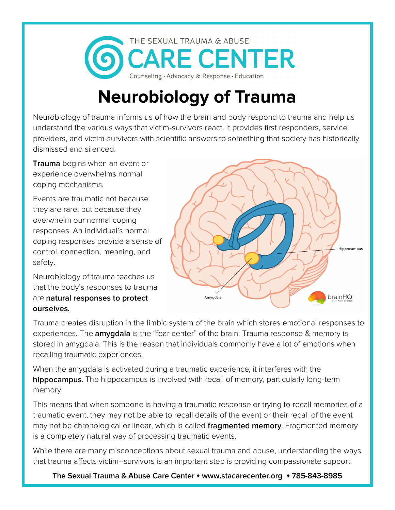

## **Neurobiology of Trauma**

Neurobiology of trauma informs us of how the brain and body respond to trauma and help us understand the various ways that victim-survivors react. It provides first responders, service providers, and victim-survivors with scientific answers to something that society has historically dismissed and silenced.

**Trauma** begins when an event or experience overwhelms normal coping mechanisms.

Events are traumatic not because they are rare, but because they overwhelm our normal coping responses. An individual's normal coping responses provide a sense of control, connection, meaning, and safety.

Neurobiology of trauma teaches us that the body's responses to trauma are natural responses to protect ourselves.



Trauma creates disruption in the limbic system of the brain which stores emotional responses to experiences. The **amygdala** is the "fear center" of the brain. Trauma response & memory is stored in amygdala. This is the reason that individuals commonly have a lot of emotions when recalling traumatic experiences.

When the amygdala is activated during a traumatic experience, it interferes with the hippocampus. The hippocampus is involved with recall of memory, particularly long-term memory.

This means that when someone is having a traumatic response or trying to recall memories of a traumatic event, they may not be able to recall details of the event or their recall of the event may not be chronological or linear, which is called **fragmented memory**. Fragmented memory is a completely natural way of processing traumatic events.

While there are many misconceptions about sexual trauma and abuse, understanding the ways that trauma affects victim--survivors is an important step is providing compassionate support.

The Sexual Trauma & Abuse Care Center • www.stacarecenter.org • 785-843-8985